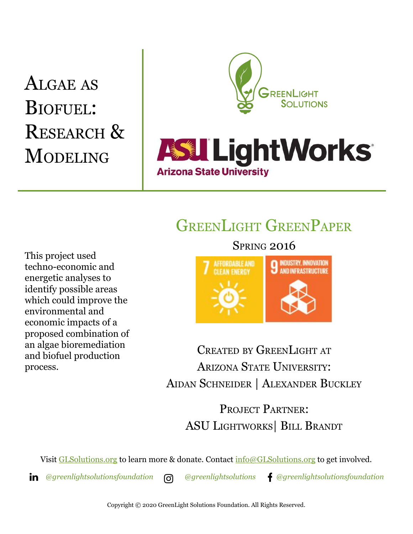# ALGAE AS BIOFUEL: RESEARCH & **MODELING**

This project used

techno-economic and energetic analyses to identify possible areas which could improve the

environmental and economic impacts of a proposed combination of an algae bioremediation and biofuel production

process.



## GREENLIGHT GREENPAPER

**Arizona State University** 

SPRING 2016



CREATED BY GREENLIGHT AT ARIZONA STATE UNIVERSITY: AIDAN SCHNEIDER | ALEXANDER BUCKLEY

PROJECT PARTNER: ASU LIGHTWORKS| BILL BRANDT

Visit [GLSolutions.org](https://www.glsolutions.org/) to learn more & donate. Contact  $\frac{info@GLSolutions.org}{info@GLSolutions.org}$  to get involved.

*[@greenlightsolutionsfoundation](https://www.linkedin.com/company/10571635) [@greenlightsolutions](https://www.instagram.com/greenlightsolutions/) [@greenlightsolutionsfoundation](https://www.facebook.com/GreenLightSolutionsFoundation/)*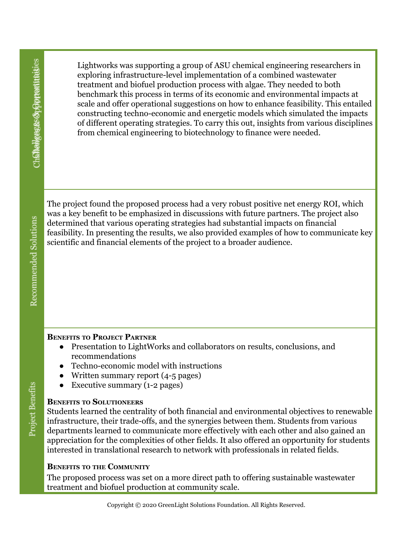Lightworks was supporting a group of ASU chemical engineering researchers in exploring infrastructure-level implementation of a combined wastewater treatment and biofuel production process with algae. They needed to both benchmark this process in terms of its economic and environmental impacts at scale and offer operational suggestions on how to enhance feasibility. This entailed constructing techno-economic and energetic models which simulated the impacts of different operating strategies. To carry this out, insights from various disciplines from chemical engineering to biotechnology to finance were needed.

The project found the proposed process had a very robust positive net energy ROI, which was a key benefit to be emphasized in discussions with future partners. The project also determined that various operating strategies had substantial impacts on financial feasibility. In presenting the results, we also provided examples of how to communicate key scientific and financial elements of the project to a broader audience.

#### **BENEFITS TO PROJECT PARTNER**

- Presentation to LightWorks and collaborators on results, conclusions, and recommendations
- Techno-economic model with instructions
- Written summary report (4-5 pages)
- Executive summary (1-2 pages)

#### **BENEFITS TO SOLUTIONEERS**

Students learned the centrality of both financial and environmental objectives to renewable infrastructure, their trade-offs, and the synergies between them. Students from various departments learned to communicate more effectively with each other and also gained an appreciation for the complexities of other fields. It also offered an opportunity for students interested in translational research to network with professionals in related fields.

### **BENEFITS TO THE COMMUNITY**

The proposed process was set on a more direct path to offering sustainable wastewater treatment and biofuel production at community scale.